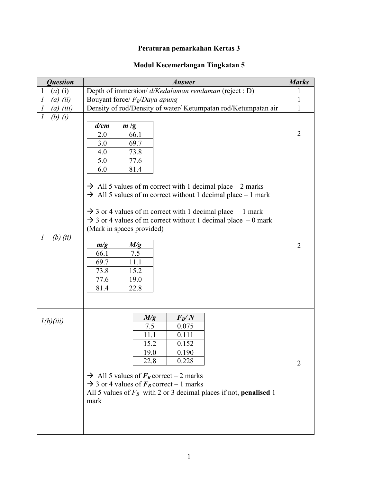## **Peraturan pemarkahan Kertas 3**

## **Modul Kecemerlangan Tingkatan 5**

| <b>Question</b>                                                | Answer                                                                                                                                                                                                                                                                                                                                                                                                                                           |                                  |  |
|----------------------------------------------------------------|--------------------------------------------------------------------------------------------------------------------------------------------------------------------------------------------------------------------------------------------------------------------------------------------------------------------------------------------------------------------------------------------------------------------------------------------------|----------------------------------|--|
| $\mathbf{1}$<br>$(a)$ (i)                                      | Depth of immersion/ d/Kedalaman rendaman (reject : D)                                                                                                                                                                                                                                                                                                                                                                                            |                                  |  |
| $\mathcal{I}$<br>$(a)$ $(ii)$                                  | Bouyant force/ $F_B/Daya$ apung                                                                                                                                                                                                                                                                                                                                                                                                                  |                                  |  |
| $\cal I$<br>$(a)$ (iii)                                        | Density of rod/Density of water/ Ketumpatan rod/Ketumpatan air                                                                                                                                                                                                                                                                                                                                                                                   | $\mathbf{1}$                     |  |
| $\mathcal{I}$<br>(b) $(i)$<br>$(b)$ $(ii)$<br>$\boldsymbol{l}$ | d/cm<br>m/g<br>2.0<br>66.1<br>3.0<br>69.7<br>73.8<br>4.0<br>5.0<br>77.6<br>6.0<br>81.4<br>$\rightarrow$ All 5 values of m correct with 1 decimal place – 2 marks<br>$\rightarrow$ All 5 values of m correct without 1 decimal place – 1 mark<br>$\rightarrow$ 3 or 4 values of m correct with 1 decimal place $-1$ mark<br>$\rightarrow$ 3 or 4 values of m correct without 1 decimal place $-0$ mark<br>(Mark in spaces provided)<br>m/g<br>M/g | $\overline{2}$<br>$\overline{2}$ |  |
|                                                                | 66.1<br>7.5<br>69.7<br>11.1<br>73.8<br>15.2<br>77.6<br>19.0<br>81.4<br>22.8                                                                                                                                                                                                                                                                                                                                                                      |                                  |  |
| l(b)(iii)                                                      | $F_B/N$<br>M/g<br>7.5<br>0.075<br>0.111<br>11.1<br>15.2<br>0.152<br>19.0<br>0.190<br>0.228<br>22.8<br>$\rightarrow$ All 5 values of $F_B$ correct – 2 marks<br>$\rightarrow$ 3 or 4 values of $F_B$ correct – 1 marks<br>All 5 values of $F_B$ with 2 or 3 decimal places if not, <b>penalised</b> 1<br>mark                                                                                                                                     | 2                                |  |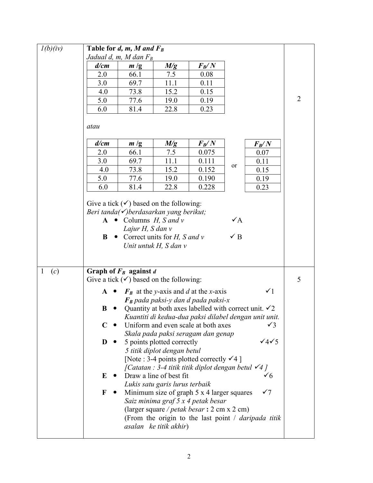| l(b)(iv)            |                                                 | Table for $d, m, M$ and $F_B$                                                                                                                                                                 |                                                                                                                                                  |                                                                                                                                                                                                                                                                                                                                                                                       |                                                                                                                                                                                                                                                                                                                                                             |   |
|---------------------|-------------------------------------------------|-----------------------------------------------------------------------------------------------------------------------------------------------------------------------------------------------|--------------------------------------------------------------------------------------------------------------------------------------------------|---------------------------------------------------------------------------------------------------------------------------------------------------------------------------------------------------------------------------------------------------------------------------------------------------------------------------------------------------------------------------------------|-------------------------------------------------------------------------------------------------------------------------------------------------------------------------------------------------------------------------------------------------------------------------------------------------------------------------------------------------------------|---|
|                     |                                                 | Jadual d, m, M dan $F_B$                                                                                                                                                                      |                                                                                                                                                  |                                                                                                                                                                                                                                                                                                                                                                                       |                                                                                                                                                                                                                                                                                                                                                             |   |
|                     | d/cm                                            | m/g                                                                                                                                                                                           | M/g                                                                                                                                              | $F_B\!/N$                                                                                                                                                                                                                                                                                                                                                                             |                                                                                                                                                                                                                                                                                                                                                             |   |
|                     | 2.0                                             | 66.1                                                                                                                                                                                          | 7.5                                                                                                                                              | 0.08                                                                                                                                                                                                                                                                                                                                                                                  |                                                                                                                                                                                                                                                                                                                                                             |   |
|                     | 3.0                                             | 69.7                                                                                                                                                                                          | 11.1                                                                                                                                             | 0.11                                                                                                                                                                                                                                                                                                                                                                                  |                                                                                                                                                                                                                                                                                                                                                             |   |
|                     | 4.0                                             | 73.8                                                                                                                                                                                          | 15.2                                                                                                                                             | 0.15                                                                                                                                                                                                                                                                                                                                                                                  |                                                                                                                                                                                                                                                                                                                                                             |   |
|                     | 5.0                                             | 77.6                                                                                                                                                                                          | 19.0                                                                                                                                             | 0.19                                                                                                                                                                                                                                                                                                                                                                                  |                                                                                                                                                                                                                                                                                                                                                             | 2 |
|                     | 6.0                                             | 81.4                                                                                                                                                                                          | 22.8                                                                                                                                             | 0.23                                                                                                                                                                                                                                                                                                                                                                                  |                                                                                                                                                                                                                                                                                                                                                             |   |
|                     | atau                                            |                                                                                                                                                                                               |                                                                                                                                                  |                                                                                                                                                                                                                                                                                                                                                                                       |                                                                                                                                                                                                                                                                                                                                                             |   |
|                     | d/cm                                            | m/g                                                                                                                                                                                           | M/g                                                                                                                                              | $F_B\!/N$                                                                                                                                                                                                                                                                                                                                                                             | $F_B\!/N$                                                                                                                                                                                                                                                                                                                                                   |   |
|                     | 2.0                                             | 66.1                                                                                                                                                                                          | 7.5                                                                                                                                              | 0.075                                                                                                                                                                                                                                                                                                                                                                                 | 0.07                                                                                                                                                                                                                                                                                                                                                        |   |
|                     | 3.0                                             | 69.7                                                                                                                                                                                          | 11.1                                                                                                                                             | 0.111                                                                                                                                                                                                                                                                                                                                                                                 | 0.11                                                                                                                                                                                                                                                                                                                                                        |   |
|                     | 4.0                                             | 73.8                                                                                                                                                                                          | 15.2                                                                                                                                             | 0.152                                                                                                                                                                                                                                                                                                                                                                                 | or<br>0.15                                                                                                                                                                                                                                                                                                                                                  |   |
|                     | 5.0                                             | 77.6                                                                                                                                                                                          | 19.0                                                                                                                                             | 0.190                                                                                                                                                                                                                                                                                                                                                                                 | 0.19                                                                                                                                                                                                                                                                                                                                                        |   |
|                     | 6.0                                             | 81.4                                                                                                                                                                                          | 22.8                                                                                                                                             | 0.228                                                                                                                                                                                                                                                                                                                                                                                 | 0.23                                                                                                                                                                                                                                                                                                                                                        |   |
|                     | A<br>B                                          | Give a tick $(\checkmark)$ based on the following:<br>Beri tanda $(\checkmark)$ berdasarkan yang berikut;<br>• Columns $H$ , S and v<br>Lajur H, S dan v<br>• Correct units for $H$ , S and v | Unit untuk H, S dan v                                                                                                                            |                                                                                                                                                                                                                                                                                                                                                                                       | $\checkmark$ A<br>$\checkmark$ B                                                                                                                                                                                                                                                                                                                            |   |
| $\mathbf{1}$<br>(c) |                                                 | Graph of $F_B$ against d<br>Give a tick $(\checkmark)$ based on the following:                                                                                                                |                                                                                                                                                  |                                                                                                                                                                                                                                                                                                                                                                                       |                                                                                                                                                                                                                                                                                                                                                             | 5 |
|                     | $\mathbf{A}$ $\bullet$<br>B<br>C<br>D<br>E<br>F |                                                                                                                                                                                               | 5 points plotted correctly<br>5 titik diplot dengan betul<br>Draw a line of best fit<br>Lukis satu garis lurus terbaik<br>asalan ke titik akhir) | $\mathbf{F}_B$ at the y-axis and d at the x-axis<br>$\boldsymbol{F_B}$ pada paksi-y dan d pada paksi-x<br>Uniform and even scale at both axes<br>Skala pada paksi seragam dan genap<br>[Note : 3-4 points plotted correctly $\checkmark$ 4]<br>Minimum size of graph 5 x 4 larger squares<br>Saiz minima graf 5 x 4 petak besar<br>(larger square / <i>petak besar</i> : 2 cm x 2 cm) | $\checkmark$<br>Quantity at both axes labelled with correct unit. $\checkmark$ 2<br>Kuantiti di kedua-dua paksi dilabel dengan unit unit.<br>$\sqrt{3}$<br>$\sqrt{4\sqrt{5}}$<br><i>[Catatan : 3-4 titik titik diplot dengan betul</i> $\checkmark$ 4]<br>$\checkmark$<br>$\checkmark$ 7<br>(From the origin to the last point $\ell$ <i>daripada titik</i> |   |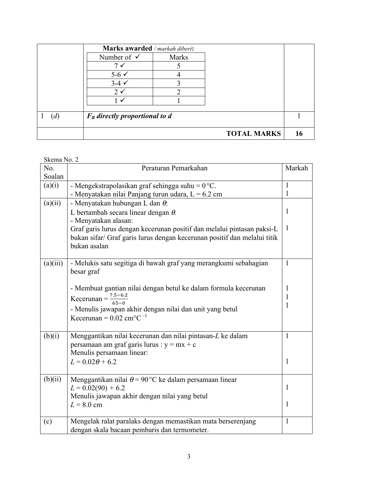|   | Marks awarded / markah diberi:   |              |                    |    |
|---|----------------------------------|--------------|--------------------|----|
|   | Number of $\checkmark$           | <b>Marks</b> |                    |    |
|   | 7                                |              |                    |    |
|   | $5-6 \checkmark$                 |              |                    |    |
|   | $3-4 \times$                     | ∍            |                    |    |
|   | $2 \checkmark$                   | ി            |                    |    |
|   |                                  |              |                    |    |
|   |                                  |              |                    |    |
| d | $F_B$ directly proportional to d |              |                    |    |
|   |                                  |              |                    |    |
|   |                                  |              | <b>TOTAL MARKS</b> | 16 |

Skema No. 2

| No.      | $U$ NVIIIU 1 1 0 . $\mu$<br>Peraturan Pemarkahan                         | Markah       |
|----------|--------------------------------------------------------------------------|--------------|
| Soalan   |                                                                          |              |
| (a)(i)   | - Mengekstrapolasikan graf sehingga suhu = $0^{\circ}$ C.                | $\mathbf{1}$ |
|          | - Menyatakan nilai Panjang turun udara, $L = 6.2$ cm                     | 1            |
| (a)(ii)  | - Menyatakan hubungan L dan $\theta$ :                                   |              |
|          | L bertambah secara linear dengan $\theta$ .                              | 1            |
|          | - Menyatakan alasan:                                                     |              |
|          | Graf garis lurus dengan kecerunan positif dan melalui pintasan paksi-L   | $\mathbf{1}$ |
|          | bukan sifar/ Graf garis lurus dengan kecerunan positif dan melalui titik |              |
|          | bukan asalan                                                             |              |
|          |                                                                          |              |
| (a)(iii) | - Melukis satu segitiga di bawah graf yang merangkumi sebahagian         | $\mathbf{1}$ |
|          | besar graf                                                               |              |
|          |                                                                          |              |
|          | - Membuat gantian nilai dengan betul ke dalam formula kecerunan          | 1            |
|          | Kecerunan = $\frac{7.5 - 6.2}{65 - 0}$                                   | 1            |
|          | - Menulis jawapan akhir dengan nilai dan unit yang betul                 | 1            |
|          | Kecerunan = $0.02$ cm <sup>o</sup> C <sup>-1</sup>                       |              |
|          |                                                                          |              |
| (b)(i)   | Menggantikan nilai kecerunan dan nilai pintasan-L ke dalam               | $\mathbf{1}$ |
|          | persamaan am graf garis lurus : $y = mx + c$                             |              |
|          | Menulis persamaan linear:                                                |              |
|          | $L = 0.02\theta + 6.2$                                                   | $\mathbf{1}$ |
|          |                                                                          |              |
| (b)(ii)  | Menggantikan nilai $\theta = 90$ °C ke dalam persamaan linear            |              |
|          | $L = 0.02(90) + 6.2$                                                     | 1            |
|          | Menulis jawapan akhir dengan nilai yang betul                            |              |
|          | $L = 8.0$ cm                                                             | 1            |
| (c)      | Mengelak ralat paralaks dengan memastikan mata berserenjang              | $\mathbf{1}$ |
|          | dengan skala bacaan pembaris dan termometer.                             |              |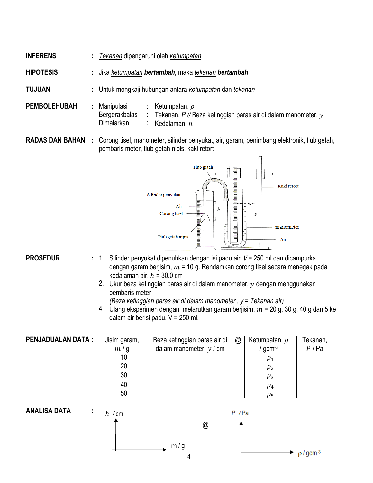- 
- **INFERENS :** *Tekanan* dipengaruhi oleh *ketumpatan*
- **HIPOTESIS :** Jika *ketumpatan bertambah*, maka *tekanan bertambah*
- **TUJUAN :** Untuk mengkaji hubungan antara *ketumpatan* dan *tekanan*
- **PEMBOLEHUBAH :** Manipulasi : Ketumpatan,  $\rho$

Bergerakbalas : Tekanan, *P //* Beza ketinggian paras air di dalam manometer,

Dimalarkan : Kedalaman,  $h$ 

**RADAS DAN BAHAN :** Corong tisel, manometer, silinder penyukat, air, garam, penimbang elektronik, tiub getah, pembaris meter, tiub getah nipis, kaki retort



## **PROSEDUR :** 1.

1. Silinder penyukat dipenuhkan dengan isi padu air,  $V = 250$  ml dan dicampurka dengan garam berjisim,  $m = 10$  g. Rendamkan corong tisel secara menegak pada kedalaman air,  $h = 30.0$  cm

2. Ukur beza ketinggian paras air di dalam manometer,  $y$  dengan menggunakan pembaris meter

*(Beza ketinggian paras air di dalam manometer , y = Tekanan air)*

4 Ulang eksperimen dengan melarutkan garam berjisim,  $m = 20$  g, 30 g, 40 g dan 5 ke dalam air berisi padu, V = 250 ml.

**PENJADUALAN DATA:** 

| Jisim garam, | Beza ketinggian paras air di | @ | Ketumpat       |
|--------------|------------------------------|---|----------------|
| m/g          | dalam manometer, $y / cm$    |   | gcm            |
| 10           |                              |   |                |
| 20           |                              |   | $\rho_2$       |
| 30           |                              |   | $\rho_3$       |
| 40           |                              |   | $\rho_4^{}$    |
| 50           |                              |   | ) <sub>5</sub> |

| $^\text{\textregistered}$ | Ketumpatan, $\rho$ | Tekanan, |
|---------------------------|--------------------|----------|
|                           | $/$ gcm $^{-3}$    | P / Pa   |
|                           |                    |          |
|                           | ο2                 |          |
|                           | $\rho_3$           |          |
|                           |                    |          |
|                           |                    |          |



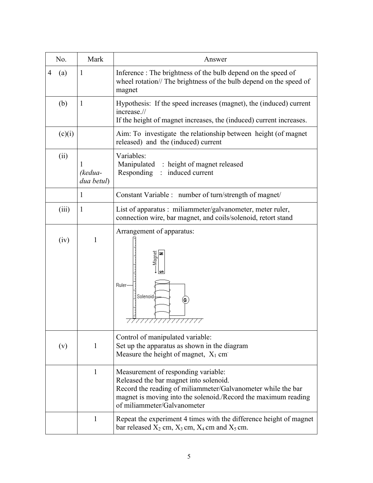| No.      | Mark                  | Answer                                                                                                                                                                                                                                         |
|----------|-----------------------|------------------------------------------------------------------------------------------------------------------------------------------------------------------------------------------------------------------------------------------------|
| 4<br>(a) | 1                     | Inference: The brightness of the bulb depend on the speed of<br>wheel rotation// The brightness of the bulb depend on the speed of<br>magnet                                                                                                   |
| (b)      | $\mathbf{I}$          | Hypothesis: If the speed increases (magnet), the (induced) current<br>increase.//<br>If the height of magnet increases, the (induced) current increases.                                                                                       |
| (c)(i)   |                       | Aim: To investigate the relationship between height (of magnet)<br>released) and the (induced) current                                                                                                                                         |
| (ii)     | (kedua-<br>dua betul) | Variables:<br>Manipulated : height of magnet released<br>Responding : induced current                                                                                                                                                          |
|          | $\mathbf{1}$          | Constant Variable : number of turn/strength of magnet/                                                                                                                                                                                         |
| (iii)    | 1                     | List of apparatus : miliammeter/galvanometer, meter ruler,<br>connection wire, bar magnet, and coils/solenoid, retort stand                                                                                                                    |
| (iv)     | 1                     | Arrangement of apparatus:<br>-Magnet<br>Ruler-<br>Solenoid-<br>G                                                                                                                                                                               |
| (v)      | $\mathbf{1}$          | Control of manipulated variable:<br>Set up the apparatus as shown in the diagram<br>Measure the height of magnet, $X_1$ cm                                                                                                                     |
|          | 1                     | Measurement of responding variable:<br>Released the bar magnet into solenoid.<br>Record the reading of miliammeter/Galvanometer while the bar<br>magnet is moving into the solenoid./Record the maximum reading<br>of miliammeter/Galvanometer |
|          | $\mathbf{1}$          | Repeat the experiment 4 times with the difference height of magnet<br>bar released $X_2$ cm, $X_3$ cm, $X_4$ cm and $X_5$ cm.                                                                                                                  |